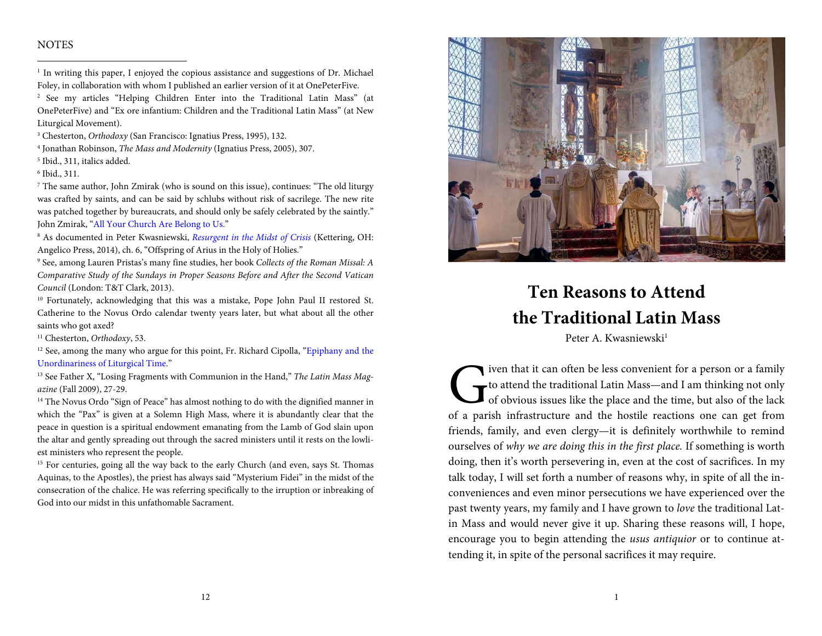## **NOTES**

<sup>1</sup> In writing this paper, I enjoyed the copious assistance and suggestions of Dr. Michael Foley, in collaboration with whom I published an earlier version of it at OnePeterFive.

2 See my articles "Helping Children Enter into the Traditional Latin Mass" (at OnePeterFive) and "Ex ore infantium: Children and the Traditional Latin Mass" (at New Liturgical Movement).

3 Chesterton, Orthodoxy (San Francisco: Ignatius Press, 1995), 132.

4 Jonathan Robinson, The Mass and Modernity (Ignatius Press, 2005), 307.

5 Ibid., 311, italics added.

6 Ibid., 311.

7 The same author, John Zmirak (who is sound on this issue), continues: "The old liturgy was crafted by saints, and can be said by schlubs without risk of sacrilege. The new rite was patched together by bureaucrats, and should only be safely celebrated by the saintly." John Zmirak, "All Your Church Are Belong to Us."

<sup>8</sup> As documented in Peter Kwasniewski, Resurgent in the Midst of Crisis (Kettering, OH: Angelico Press, 2014), ch. 6, "Offspring of Arius in the Holy of Holies."

9 See, among Lauren Pristas's many fine studies, her book Collects of the Roman Missal: A Comparative Study of the Sundays in Proper Seasons Before and After the Second Vatican Council (London: T&T Clark, 2013).

<sup>10</sup> Fortunately, acknowledging that this was a mistake, Pope John Paul II restored St. Catherine to the Novus Ordo calendar twenty years later, but what about all the other saints who got axed?

<sup>11</sup> Chesterton, Orthodoxy, 53.

<sup>12</sup> See, among the many who argue for this point, Fr. Richard Cipolla, "Epiphany and the Unordinariness of Liturgical Time."

 $13$  See Father X, "Losing Fragments with Communion in the Hand," The Latin Mass Magazine (Fall 2009), 27-29.

<sup>14</sup> The Novus Ordo "Sign of Peace" has almost nothing to do with the dignified manner in which the "Pax" is given at a Solemn High Mass, where it is abundantly clear that the peace in question is a spiritual endowment emanating from the Lamb of God slain upon the altar and gently spreading out through the sacred ministers until it rests on the lowliest ministers who represent the people.

<sup>15</sup> For centuries, going all the way back to the early Church (and even, says St. Thomas Aquinas, to the Apostles), the priest has always said "Mysterium Fidei" in the midst of the consecration of the chalice. He was referring specifically to the irruption or inbreaking of God into our midst in this unfathomable Sacrament.



## **Ten Reasons to Attend the Traditional Latin Mass**

Peter A. Kwasniewski<sup>1</sup>

iven that it can often be less convenient for a person or a family to attend the traditional Latin Mass—and I am thinking not only of obvious issues like the place and the time, but also of the lack of a parish infrastructure and the hostile reactions one can get from friends, family, and even clergy—it is definitely worthwhile to remind ourselves of why we are doing this in the first place. If something is worth doing, then it's worth persevering in, even at the cost of sacrifices. In my talk today, I will set forth a number of reasons why, in spite of all the inconveniences and even minor persecutions we have experienced over the past twenty years, my family and I have grown to love the traditional Latin Mass and would never give it up. Sharing these reasons will, I hope, encourage you to begin attending the usus antiquior or to continue attending it, in spite of the personal sacrifices it may require.  $\int_{\text{of}}^{\text{ive}}$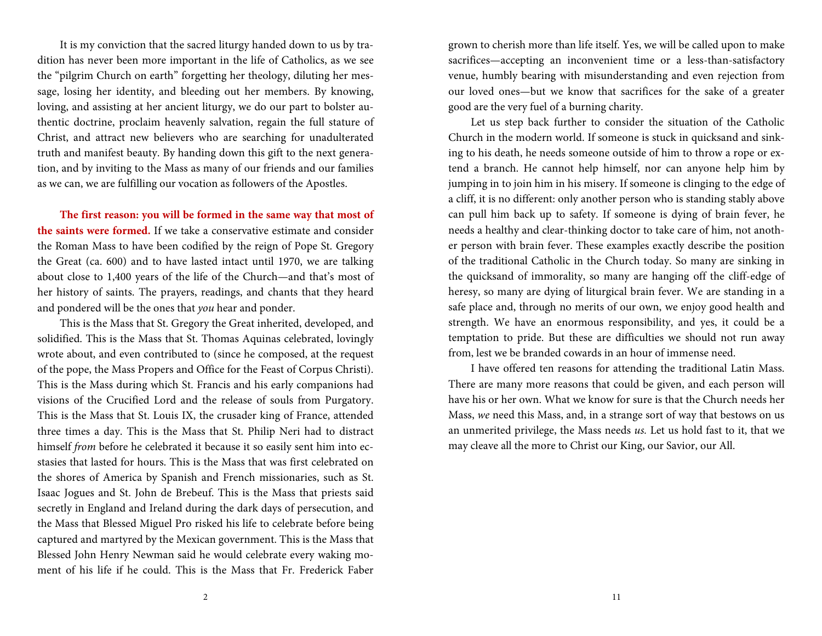It is my conviction that the sacred liturgy handed down to us by tradition has never been more important in the life of Catholics, as we see the "pilgrim Church on earth" forgetting her theology, diluting her message, losing her identity, and bleeding out her members. By knowing, loving, and assisting at her ancient liturgy, we do our part to bolster authentic doctrine, proclaim heavenly salvation, regain the full stature of Christ, and attract new believers who are searching for unadulterated truth and manifest beauty. By handing down this gift to the next generation, and by inviting to the Mass as many of our friends and our families as we can, we are fulfilling our vocation as followers of the Apostles.

**The first reason: you will be formed in the same way that most of the saints were formed.** If we take a conservative estimate and consider the Roman Mass to have been codified by the reign of Pope St. Gregory the Great (ca. 600) and to have lasted intact until 1970, we are talking about close to 1,400 years of the life of the Church—and that's most of her history of saints. The prayers, readings, and chants that they heard and pondered will be the ones that you hear and ponder.

This is the Mass that St. Gregory the Great inherited, developed, and solidified. This is the Mass that St. Thomas Aquinas celebrated, lovingly wrote about, and even contributed to (since he composed, at the request of the pope, the Mass Propers and Office for the Feast of Corpus Christi). This is the Mass during which St. Francis and his early companions had visions of the Crucified Lord and the release of souls from Purgatory. This is the Mass that St. Louis IX, the crusader king of France, attended three times a day. This is the Mass that St. Philip Neri had to distract himself from before he celebrated it because it so easily sent him into ecstasies that lasted for hours. This is the Mass that was first celebrated on the shores of America by Spanish and French missionaries, such as St. Isaac Jogues and St. John de Brebeuf. This is the Mass that priests said secretly in England and Ireland during the dark days of persecution, and the Mass that Blessed Miguel Pro risked his life to celebrate before being captured and martyred by the Mexican government. This is the Mass that Blessed John Henry Newman said he would celebrate every waking moment of his life if he could. This is the Mass that Fr. Frederick Faber grown to cherish more than life itself. Yes, we will be called upon to make sacrifices—accepting an inconvenient time or a less-than-satisfactory venue, humbly bearing with misunderstanding and even rejection from our loved ones—but we know that sacrifices for the sake of a greater good are the very fuel of a burning charity.

Let us step back further to consider the situation of the Catholic Church in the modern world. If someone is stuck in quicksand and sinking to his death, he needs someone outside of him to throw a rope or extend a branch. He cannot help himself, nor can anyone help him by jumping in to join him in his misery. If someone is clinging to the edge of a cliff, it is no different: only another person who is standing stably above can pull him back up to safety. If someone is dying of brain fever, he needs a healthy and clear-thinking doctor to take care of him, not another person with brain fever. These examples exactly describe the position of the traditional Catholic in the Church today. So many are sinking in the quicksand of immorality, so many are hanging off the cliff-edge of heresy, so many are dying of liturgical brain fever. We are standing in a safe place and, through no merits of our own, we enjoy good health and strength. We have an enormous responsibility, and yes, it could be a temptation to pride. But these are difficulties we should not run away from, lest we be branded cowards in an hour of immense need.

I have offered ten reasons for attending the traditional Latin Mass. There are many more reasons that could be given, and each person will have his or her own. What we know for sure is that the Church needs her Mass, we need this Mass, and, in a strange sort of way that bestows on us an unmerited privilege, the Mass needs us. Let us hold fast to it, that we may cleave all the more to Christ our King, our Savior, our All.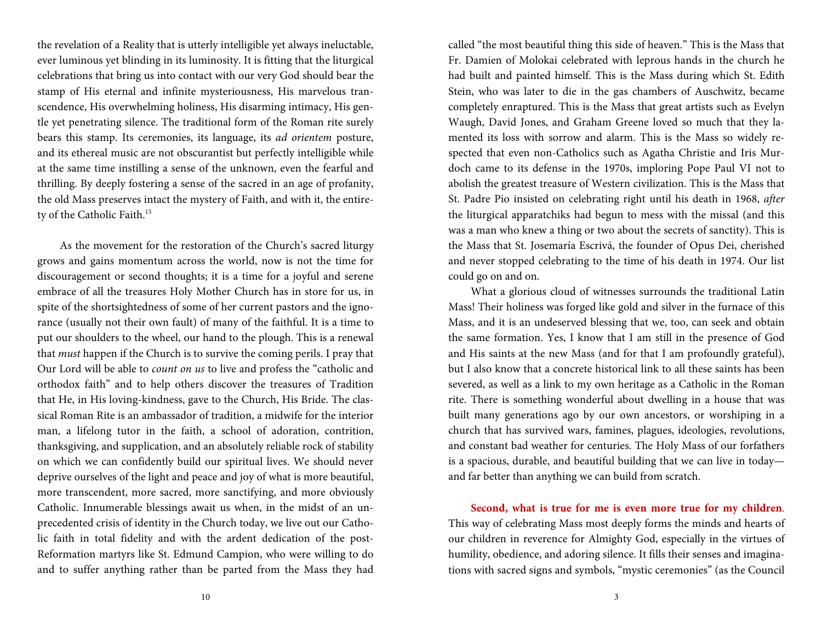the revelation of a Reality that is utterly intelligible yet always ineluctable, ever luminous yet blinding in its luminosity. It is fitting that the liturgical celebrations that bring us into contact with our very God should bear the stamp of His eternal and infinite mysteriousness, His marvelous transcendence, His overwhelming holiness, His disarming intimacy, His gentle yet penetrating silence. The traditional form of the Roman rite surely bears this stamp. Its ceremonies, its language, its ad orientem posture, and its ethereal music are not obscurantist but perfectly intelligible while at the same time instilling a sense of the unknown, even the fearful and thrilling. By deeply fostering a sense of the sacred in an age of profanity, the old Mass preserves intact the mystery of Faith, and with it, the entirety of the Catholic Faith.<sup>15</sup>

As the movement for the restoration of the Church's sacred liturgy grows and gains momentum across the world, now is not the time for discouragement or second thoughts; it is a time for a joyful and serene embrace of all the treasures Holy Mother Church has in store for us, in spite of the shortsightedness of some of her current pastors and the ignorance (usually not their own fault) of many of the faithful. It is a time to put our shoulders to the wheel, our hand to the plough. This is a renewal that must happen if the Church is to survive the coming perils. I pray that Our Lord will be able to count on us to live and profess the "catholic and orthodox faith" and to help others discover the treasures of Tradition that He, in His loving-kindness, gave to the Church, His Bride. The classical Roman Rite is an ambassador of tradition, a midwife for the interior man, a lifelong tutor in the faith, a school of adoration, contrition, thanksgiving, and supplication, and an absolutely reliable rock of stability on which we can confidently build our spiritual lives. We should never deprive ourselves of the light and peace and joy of what is more beautiful, more transcendent, more sacred, more sanctifying, and more obviously Catholic. Innumerable blessings await us when, in the midst of an unprecedented crisis of identity in the Church today, we live out our Catholic faith in total fidelity and with the ardent dedication of the post-Reformation martyrs like St. Edmund Campion, who were willing to do and to suffer anything rather than be parted from the Mass they had

called "the most beautiful thing this side of heaven." This is the Mass that Fr. Damien of Molokai celebrated with leprous hands in the church he had built and painted himself. This is the Mass during which St. Edith Stein, who was later to die in the gas chambers of Auschwitz, became completely enraptured. This is the Mass that great artists such as Evelyn Waugh, David Jones, and Graham Greene loved so much that they lamented its loss with sorrow and alarm. This is the Mass so widely respected that even non-Catholics such as Agatha Christie and Iris Murdoch came to its defense in the 1970s, imploring Pope Paul VI not to abolish the greatest treasure of Western civilization. This is the Mass that St. Padre Pio insisted on celebrating right until his death in 1968, after the liturgical apparatchiks had begun to mess with the missal (and this was a man who knew a thing or two about the secrets of sanctity). This is the Mass that St. Josemaría Escrivá, the founder of Opus Dei, cherished and never stopped celebrating to the time of his death in 1974. Our list could go on and on.

What a glorious cloud of witnesses surrounds the traditional Latin Mass! Their holiness was forged like gold and silver in the furnace of this Mass, and it is an undeserved blessing that we, too, can seek and obtain the same formation. Yes, I know that I am still in the presence of God and His saints at the new Mass (and for that I am profoundly grateful), but I also know that a concrete historical link to all these saints has been severed, as well as a link to my own heritage as a Catholic in the Roman rite. There is something wonderful about dwelling in a house that was built many generations ago by our own ancestors, or worshiping in a church that has survived wars, famines, plagues, ideologies, revolutions, and constant bad weather for centuries. The Holy Mass of our forfathers is a spacious, durable, and beautiful building that we can live in today and far better than anything we can build from scratch.

**Second, what is true for me is even more true for my children**. This way of celebrating Mass most deeply forms the minds and hearts of our children in reverence for Almighty God, especially in the virtues of humility, obedience, and adoring silence. It fills their senses and imaginations with sacred signs and symbols, "mystic ceremonies" (as the Council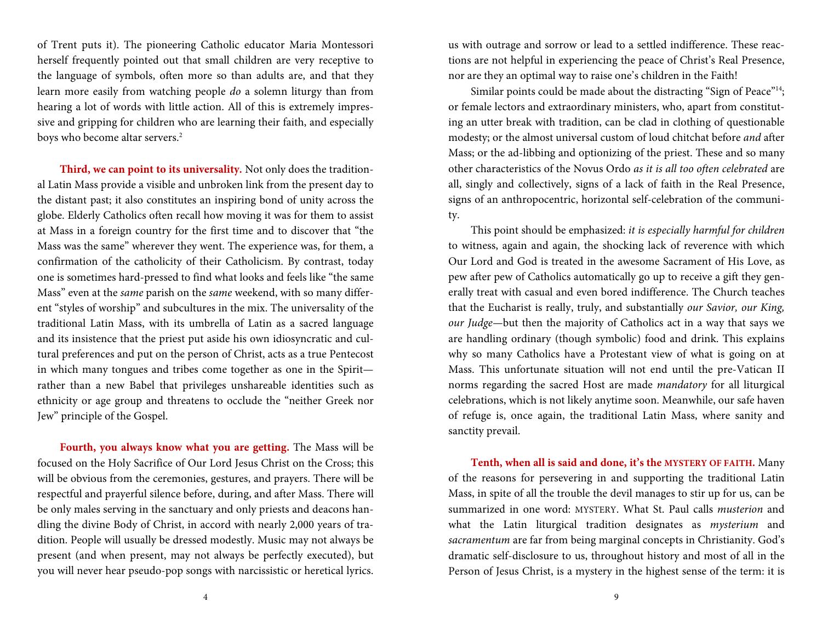of Trent puts it). The pioneering Catholic educator Maria Montessori herself frequently pointed out that small children are very receptive to the language of symbols, often more so than adults are, and that they learn more easily from watching people do a solemn liturgy than from hearing a lot of words with little action. All of this is extremely impressive and gripping for children who are learning their faith, and especially boys who become altar servers.<sup>2</sup>

**Third, we can point to its universality.** Not only does the traditional Latin Mass provide a visible and unbroken link from the present day to the distant past; it also constitutes an inspiring bond of unity across the globe. Elderly Catholics often recall how moving it was for them to assist at Mass in a foreign country for the first time and to discover that "the Mass was the same" wherever they went. The experience was, for them, a confirmation of the catholicity of their Catholicism. By contrast, today one is sometimes hard-pressed to find what looks and feels like "the same Mass" even at the same parish on the same weekend, with so many different "styles of worship" and subcultures in the mix. The universality of the traditional Latin Mass, with its umbrella of Latin as a sacred language and its insistence that the priest put aside his own idiosyncratic and cultural preferences and put on the person of Christ, acts as a true Pentecost in which many tongues and tribes come together as one in the Spirit rather than a new Babel that privileges unshareable identities such as ethnicity or age group and threatens to occlude the "neither Greek nor Jew" principle of the Gospel.

**Fourth, you always know what you are getting.** The Mass will be focused on the Holy Sacrifice of Our Lord Jesus Christ on the Cross; this will be obvious from the ceremonies, gestures, and prayers. There will be respectful and prayerful silence before, during, and after Mass. There will be only males serving in the sanctuary and only priests and deacons handling the divine Body of Christ, in accord with nearly 2,000 years of tradition. People will usually be dressed modestly. Music may not always be present (and when present, may not always be perfectly executed), but you will never hear pseudo-pop songs with narcissistic or heretical lyrics.

us with outrage and sorrow or lead to a settled indifference. These reactions are not helpful in experiencing the peace of Christ's Real Presence, nor are they an optimal way to raise one's children in the Faith!

Similar points could be made about the distracting "Sign of Peace"<sup>14</sup>; or female lectors and extraordinary ministers, who, apart from constituting an utter break with tradition, can be clad in clothing of questionable modesty; or the almost universal custom of loud chitchat before and after Mass; or the ad-libbing and optionizing of the priest. These and so many other characteristics of the Novus Ordo as it is all too often celebrated are all, singly and collectively, signs of a lack of faith in the Real Presence, signs of an anthropocentric, horizontal self-celebration of the community.

This point should be emphasized: it is especially harmful for children to witness, again and again, the shocking lack of reverence with which Our Lord and God is treated in the awesome Sacrament of His Love, as pew after pew of Catholics automatically go up to receive a gift they generally treat with casual and even bored indifference. The Church teaches that the Eucharist is really, truly, and substantially our Savior, our King, our Judge—but then the majority of Catholics act in a way that says we are handling ordinary (though symbolic) food and drink. This explains why so many Catholics have a Protestant view of what is going on at Mass. This unfortunate situation will not end until the pre-Vatican II norms regarding the sacred Host are made mandatory for all liturgical celebrations, which is not likely anytime soon. Meanwhile, our safe haven of refuge is, once again, the traditional Latin Mass, where sanity and sanctity prevail.

**Tenth, when all is said and done, it's the MYSTERY OF FAITH.** Many of the reasons for persevering in and supporting the traditional Latin Mass, in spite of all the trouble the devil manages to stir up for us, can be summarized in one word: MYSTERY. What St. Paul calls musterion and what the Latin liturgical tradition designates as mysterium and sacramentum are far from being marginal concepts in Christianity. God's dramatic self-disclosure to us, throughout history and most of all in the Person of Jesus Christ, is a mystery in the highest sense of the term: it is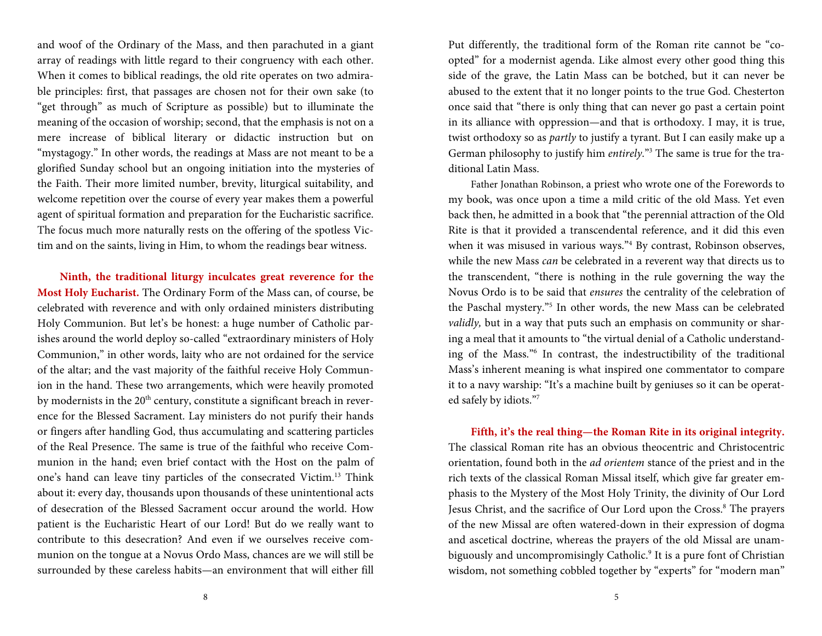and woof of the Ordinary of the Mass, and then parachuted in a giant array of readings with little regard to their congruency with each other. When it comes to biblical readings, the old rite operates on two admirable principles: first, that passages are chosen not for their own sake (to "get through" as much of Scripture as possible) but to illuminate the meaning of the occasion of worship; second, that the emphasis is not on a mere increase of biblical literary or didactic instruction but on "mystagogy." In other words, the readings at Mass are not meant to be a glorified Sunday school but an ongoing initiation into the mysteries of the Faith. Their more limited number, brevity, liturgical suitability, and welcome repetition over the course of every year makes them a powerful agent of spiritual formation and preparation for the Eucharistic sacrifice. The focus much more naturally rests on the offering of the spotless Victim and on the saints, living in Him, to whom the readings bear witness.

**Ninth, the traditional liturgy inculcates grea<sup>t</sup> reverence for the Most Holy Eucharist.** The Ordinary Form of the Mass can, of course, be celebrated with reverence and with only ordained ministers distributing Holy Communion. But let's be honest: a huge number of Catholic parishes around the world deploy so-called "extraordinary ministers of Holy Communion," in other words, laity who are not ordained for the service of the altar; and the vast majority of the faithful receive Holy Communion in the hand. These two arrangements, which were heavily promoted by modernists in the 20<sup>th</sup> century, constitute a significant breach in reverence for the Blessed Sacrament. Lay ministers do not purify their hands or fingers after handling God, thus accumulating and scattering particles of the Real Presence. The same is true of the faithful who receive Communion in the hand; even brief contact with the Host on the palm of one's hand can leave tiny particles of the consecrated Victim.13 Think about it: every day, thousands upon thousands of these unintentional acts of desecration of the Blessed Sacrament occur around the world. How patient is the Eucharistic Heart of our Lord! But do we really want to contribute to this desecration? And even if we ourselves receive communion on the tongue at a Novus Ordo Mass, chances are we will still be surrounded by these careless habits—an environment that will either fill

Put differently, the traditional form of the Roman rite cannot be "coopted" for a modernist agenda. Like almost every other good thing this side of the grave, the Latin Mass can be botched, but it can never be abused to the extent that it no longer points to the true God. Chesterton once said that "there is only thing that can never go past a certain point in its alliance with oppression—and that is orthodoxy. I may, it is true, twist orthodoxy so as partly to justify a tyrant. But I can easily make up a German philosophy to justify him entirely."3 The same is true for the traditional Latin Mass.

Father Jonathan Robinson, a priest who wrote one of the Forewords to my book, was once upon a time a mild critic of the old Mass. Yet even back then, he admitted in a book that "the perennial attraction of the Old Rite is that it provided a transcendental reference, and it did this even when it was misused in various ways."4 By contrast, Robinson observes, while the new Mass can be celebrated in a reverent way that directs us to the transcendent, "there is nothing in the rule governing the way the Novus Ordo is to be said that ensures the centrality of the celebration of the Paschal mystery."5 In other words, the new Mass can be celebrated validly, but in a way that puts such an emphasis on community or sharing a meal that it amounts to "the virtual denial of a Catholic understanding of the Mass."6 In contrast, the indestructibility of the traditional Mass's inherent meaning is what inspired one commentator to compare it to a navy warship: "It's a machine built by geniuses so it can be operated safely by idiots."7

**Fifth, it's the real thing—the Roman Rite in its original integrity.** The classical Roman rite has an obvious theocentric and Christocentric orientation, found both in the ad orientem stance of the priest and in the rich texts of the classical Roman Missal itself, which give far greater emphasis to the Mystery of the Most Holy Trinity, the divinity of Our Lord Jesus Christ, and the sacrifice of Our Lord upon the Cross.8 The prayers of the new Missal are often watered-down in their expression of dogma and ascetical doctrine, whereas the prayers of the old Missal are unambiguously and uncompromisingly Catholic.<sup>9</sup> It is a pure font of Christian wisdom, not something cobbled together by "experts" for "modern man"